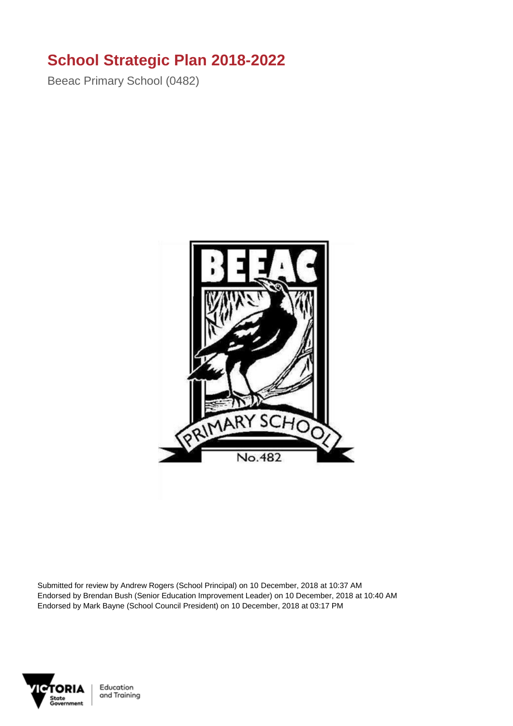## **School Strategic Plan 2018-2022**

Beeac Primary School (0482)



Submitted for review by Andrew Rogers (School Principal) on 10 December, 2018 at 10:37 AM Endorsed by Brendan Bush (Senior Education Improvement Leader) on 10 December, 2018 at 10:40 AM Endorsed by Mark Bayne (School Council President) on 10 December, 2018 at 03:17 PM



Education and Training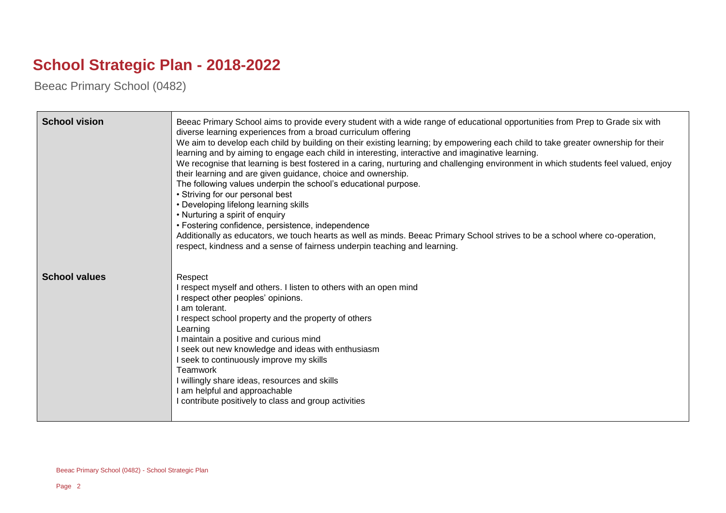## **School Strategic Plan - 2018-2022**

Beeac Primary School (0482)

| <b>School vision</b> | Beeac Primary School aims to provide every student with a wide range of educational opportunities from Prep to Grade six with<br>diverse learning experiences from a broad curriculum offering<br>We aim to develop each child by building on their existing learning; by empowering each child to take greater ownership for their<br>learning and by aiming to engage each child in interesting, interactive and imaginative learning.<br>We recognise that learning is best fostered in a caring, nurturing and challenging environment in which students feel valued, enjoy<br>their learning and are given guidance, choice and ownership.<br>The following values underpin the school's educational purpose.<br>• Striving for our personal best<br>• Developing lifelong learning skills<br>• Nurturing a spirit of enquiry<br>• Fostering confidence, persistence, independence<br>Additionally as educators, we touch hearts as well as minds. Beeac Primary School strives to be a school where co-operation,<br>respect, kindness and a sense of fairness underpin teaching and learning. |
|----------------------|------------------------------------------------------------------------------------------------------------------------------------------------------------------------------------------------------------------------------------------------------------------------------------------------------------------------------------------------------------------------------------------------------------------------------------------------------------------------------------------------------------------------------------------------------------------------------------------------------------------------------------------------------------------------------------------------------------------------------------------------------------------------------------------------------------------------------------------------------------------------------------------------------------------------------------------------------------------------------------------------------------------------------------------------------------------------------------------------------|
| <b>School values</b> | Respect<br>I respect myself and others. I listen to others with an open mind<br>I respect other peoples' opinions.<br>I am tolerant.<br>I respect school property and the property of others<br>Learning<br>I maintain a positive and curious mind<br>seek out new knowledge and ideas with enthusiasm<br>seek to continuously improve my skills<br>Teamwork<br>I willingly share ideas, resources and skills<br>I am helpful and approachable<br>I contribute positively to class and group activities                                                                                                                                                                                                                                                                                                                                                                                                                                                                                                                                                                                              |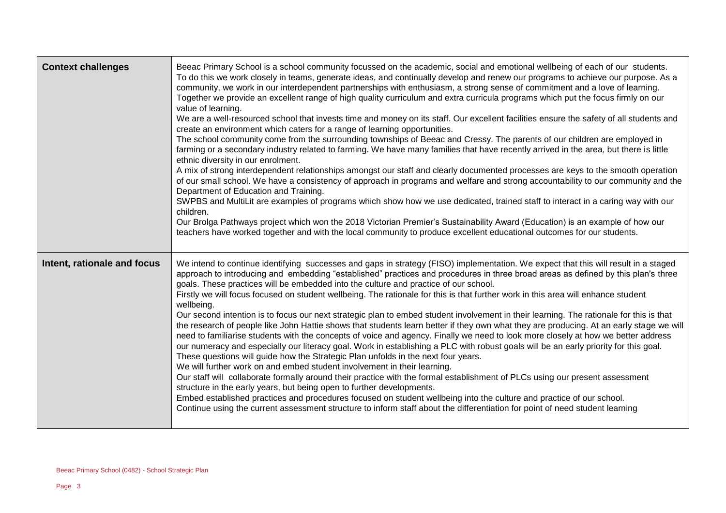| <b>Context challenges</b>   | Beeac Primary School is a school community focussed on the academic, social and emotional wellbeing of each of our students.<br>To do this we work closely in teams, generate ideas, and continually develop and renew our programs to achieve our purpose. As a<br>community, we work in our interdependent partnerships with enthusiasm, a strong sense of commitment and a love of learning.<br>Together we provide an excellent range of high quality curriculum and extra curricula programs which put the focus firmly on our<br>value of learning.<br>We are a well-resourced school that invests time and money on its staff. Our excellent facilities ensure the safety of all students and<br>create an environment which caters for a range of learning opportunities.<br>The school community come from the surrounding townships of Beeac and Cressy. The parents of our children are employed in<br>farming or a secondary industry related to farming. We have many families that have recently arrived in the area, but there is little<br>ethnic diversity in our enrolment.<br>A mix of strong interdependent relationships amongst our staff and clearly documented processes are keys to the smooth operation<br>of our small school. We have a consistency of approach in programs and welfare and strong accountability to our community and the<br>Department of Education and Training.<br>SWPBS and MultiLit are examples of programs which show how we use dedicated, trained staff to interact in a caring way with our<br>children.<br>Our Brolga Pathways project which won the 2018 Victorian Premier's Sustainability Award (Education) is an example of how our<br>teachers have worked together and with the local community to produce excellent educational outcomes for our students. |
|-----------------------------|---------------------------------------------------------------------------------------------------------------------------------------------------------------------------------------------------------------------------------------------------------------------------------------------------------------------------------------------------------------------------------------------------------------------------------------------------------------------------------------------------------------------------------------------------------------------------------------------------------------------------------------------------------------------------------------------------------------------------------------------------------------------------------------------------------------------------------------------------------------------------------------------------------------------------------------------------------------------------------------------------------------------------------------------------------------------------------------------------------------------------------------------------------------------------------------------------------------------------------------------------------------------------------------------------------------------------------------------------------------------------------------------------------------------------------------------------------------------------------------------------------------------------------------------------------------------------------------------------------------------------------------------------------------------------------------------------------------------------------------------------------------------------------------------------------------------------|
| Intent, rationale and focus | We intend to continue identifying successes and gaps in strategy (FISO) implementation. We expect that this will result in a staged<br>approach to introducing and embedding "established" practices and procedures in three broad areas as defined by this plan's three<br>goals. These practices will be embedded into the culture and practice of our school.<br>Firstly we will focus focused on student wellbeing. The rationale for this is that further work in this area will enhance student<br>wellbeing.<br>Our second intention is to focus our next strategic plan to embed student involvement in their learning. The rationale for this is that<br>the research of people like John Hattie shows that students learn better if they own what they are producing. At an early stage we will<br>need to familiarise students with the concepts of voice and agency. Finally we need to look more closely at how we better address<br>our numeracy and especially our literacy goal. Work in establishing a PLC with robust goals will be an early priority for this goal.<br>These questions will guide how the Strategic Plan unfolds in the next four years.<br>We will further work on and embed student involvement in their learning.<br>Our staff will collaborate formally around their practice with the formal establishment of PLCs using our present assessment<br>structure in the early years, but being open to further developments.<br>Embed established practices and procedures focused on student wellbeing into the culture and practice of our school.<br>Continue using the current assessment structure to inform staff about the differentiation for point of need student learning                                                                                                  |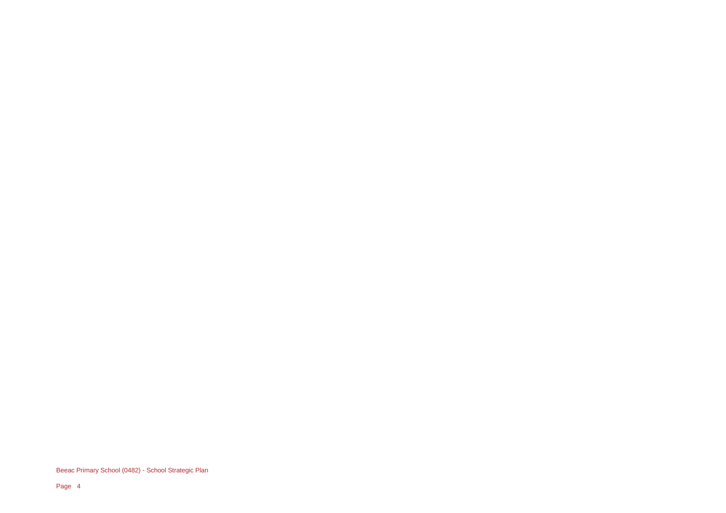Beeac Primary School (0482) - School Strategic Plan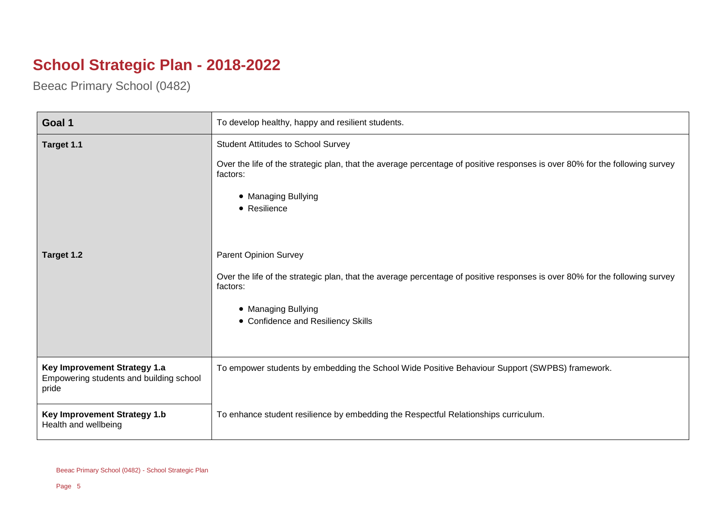## **School Strategic Plan - 2018-2022**

Beeac Primary School (0482)

| Goal 1                                                                           | To develop healthy, happy and resilient students.                                                                                                                                                                                    |
|----------------------------------------------------------------------------------|--------------------------------------------------------------------------------------------------------------------------------------------------------------------------------------------------------------------------------------|
| Target 1.1                                                                       | <b>Student Attitudes to School Survey</b><br>Over the life of the strategic plan, that the average percentage of positive responses is over 80% for the following survey<br>factors:<br>• Managing Bullying<br>• Resilience          |
| Target 1.2                                                                       | <b>Parent Opinion Survey</b><br>Over the life of the strategic plan, that the average percentage of positive responses is over 80% for the following survey<br>factors:<br>• Managing Bullying<br>• Confidence and Resiliency Skills |
| Key Improvement Strategy 1.a<br>Empowering students and building school<br>pride | To empower students by embedding the School Wide Positive Behaviour Support (SWPBS) framework.                                                                                                                                       |
| Key Improvement Strategy 1.b<br>Health and wellbeing                             | To enhance student resilience by embedding the Respectful Relationships curriculum.                                                                                                                                                  |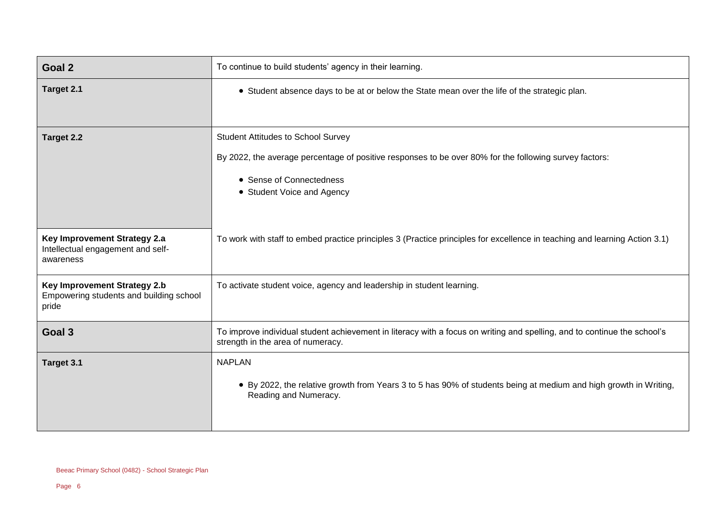| Goal 2                                                                           | To continue to build students' agency in their learning.                                                                                                      |
|----------------------------------------------------------------------------------|---------------------------------------------------------------------------------------------------------------------------------------------------------------|
| Target 2.1                                                                       | • Student absence days to be at or below the State mean over the life of the strategic plan.                                                                  |
| Target 2.2                                                                       | <b>Student Attitudes to School Survey</b>                                                                                                                     |
|                                                                                  | By 2022, the average percentage of positive responses to be over 80% for the following survey factors:                                                        |
|                                                                                  | • Sense of Connectedness                                                                                                                                      |
|                                                                                  | • Student Voice and Agency                                                                                                                                    |
| Key Improvement Strategy 2.a<br>Intellectual engagement and self-<br>awareness   | To work with staff to embed practice principles 3 (Practice principles for excellence in teaching and learning Action 3.1)                                    |
| Key Improvement Strategy 2.b<br>Empowering students and building school<br>pride | To activate student voice, agency and leadership in student learning.                                                                                         |
| Goal 3                                                                           | To improve individual student achievement in literacy with a focus on writing and spelling, and to continue the school's<br>strength in the area of numeracy. |
| Target 3.1                                                                       | <b>NAPLAN</b>                                                                                                                                                 |
|                                                                                  | • By 2022, the relative growth from Years 3 to 5 has 90% of students being at medium and high growth in Writing,<br>Reading and Numeracy.                     |